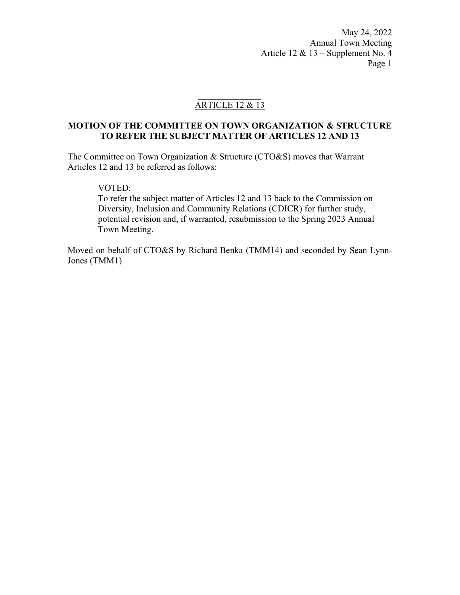May 24, 2022 Annual Town Meeting Article 12 & 13 – Supplement No. 4 Page 1

# ARTICLE 12 & 13

### **MOTION OF THE COMMITTEE ON TOWN ORGANIZATION & STRUCTURE TO REFER THE SUBJECT MATTER OF ARTICLES 12 AND 13**

The Committee on Town Organization & Structure (CTO&S) moves that Warrant Articles 12 and 13 be referred as follows:

### VOTED:

To refer the subject matter of Articles 12 and 13 back to the Commission on Diversity, Inclusion and Community Relations (CDICR) for further study, potential revision and, if warranted, resubmission to the Spring 2023 Annual Town Meeting.

Moved on behalf of CTO&S by Richard Benka (TMM14) and seconded by Sean Lynn-Jones (TMM1).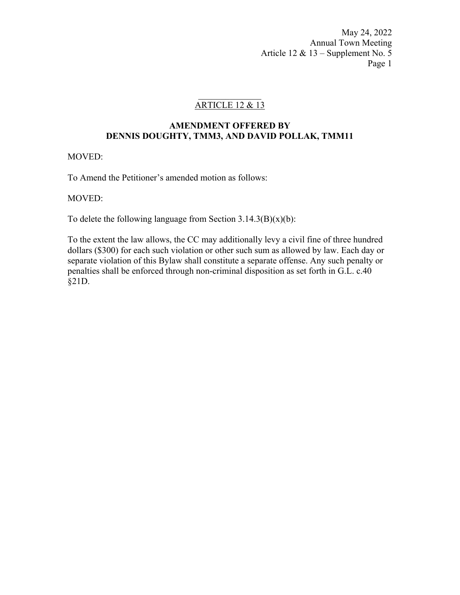May 24, 2022 Annual Town Meeting Article 12 & 13 – Supplement No. 5 Page 1

# ARTICLE 12 & 13

### **AMENDMENT OFFERED BY DENNIS DOUGHTY, TMM3, AND DAVID POLLAK, TMM11**

### MOVED:

To Amend the Petitioner's amended motion as follows:

MOVED:

To delete the following language from Section  $3.14.3(B)(x)(b)$ :

To the extent the law allows, the CC may additionally levy a civil fine of three hundred dollars (\$300) for each such violation or other such sum as allowed by law. Each day or separate violation of this Bylaw shall constitute a separate offense. Any such penalty or penalties shall be enforced through non-criminal disposition as set forth in G.L. c.40 §21D.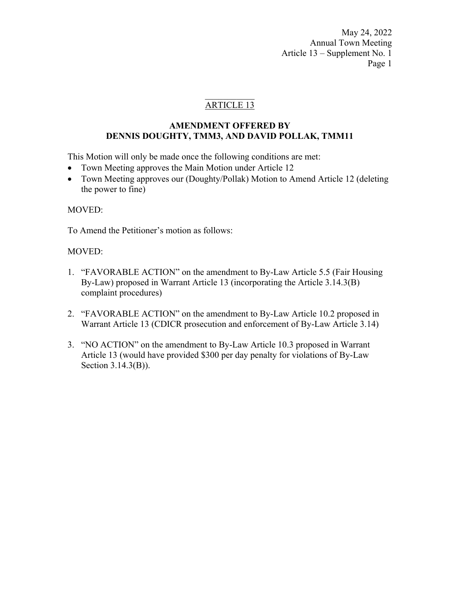May 24, 2022 Annual Town Meeting Article 13 – Supplement No. 1 Page 1

## ARTICLE 13

### **AMENDMENT OFFERED BY DENNIS DOUGHTY, TMM3, AND DAVID POLLAK, TMM11**

This Motion will only be made once the following conditions are met:

- Town Meeting approves the Main Motion under Article 12
- Town Meeting approves our (Doughty/Pollak) Motion to Amend Article 12 (deleting the power to fine)

### MOVED:

To Amend the Petitioner's motion as follows:

### MOVED:

- 1. "FAVORABLE ACTION" on the amendment to By-Law Article 5.5 (Fair Housing By-Law) proposed in Warrant Article 13 (incorporating the Article 3.14.3(B) complaint procedures)
- 2. "FAVORABLE ACTION" on the amendment to By-Law Article 10.2 proposed in Warrant Article 13 (CDICR prosecution and enforcement of By-Law Article 3.14)
- 3. "NO ACTION" on the amendment to By-Law Article 10.3 proposed in Warrant Article 13 (would have provided \$300 per day penalty for violations of By-Law Section 3.14.3(B)).